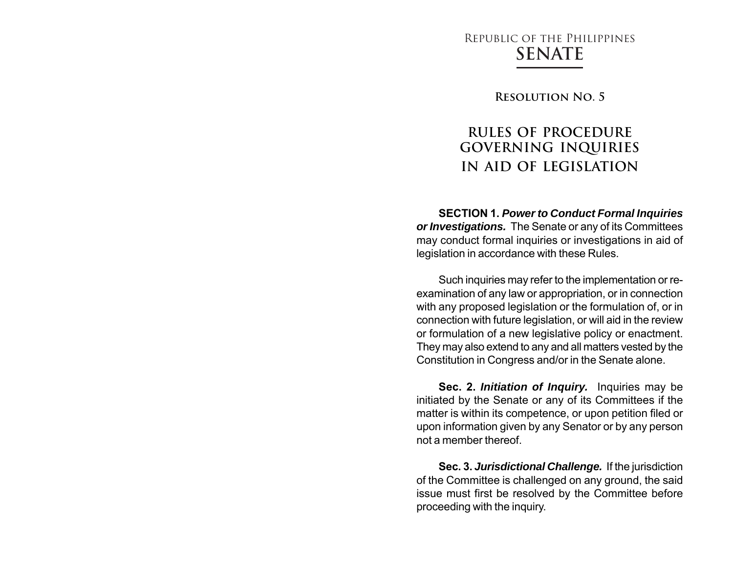# Republic of the Philippines **SENATE**

**Resolution No. 5**

# **RULES OF PROCEDURE GOVERNING INQUIRIES IN AID OF LEGISLATION**

**SECTION 1.** *Power to Conduct Formal Inquiries or Investigations.* The Senate or any of its Committees may conduct formal inquiries or investigations in aid of legislation in accordance with these Rules.

Such inquiries may refer to the implementation or reexamination of any law or appropriation, or in connection with any proposed legislation or the formulation of, or in connection with future legislation, or will aid in the review or formulation of a new legislative policy or enactment. They may also extend to any and all matters vested by the Constitution in Congress and/or in the Senate alone.

**Sec. 2.** *Initiation of Inquiry.* Inquiries may be initiated by the Senate or any of its Committees if the matter is within its competence, or upon petition filed or upon information given by any Senator or by any person not a member thereof.

**Sec. 3.** *Jurisdictional Challenge.* If the jurisdiction of the Committee is challenged on any ground, the said issue must first be resolved by the Committee before proceeding with the inquiry.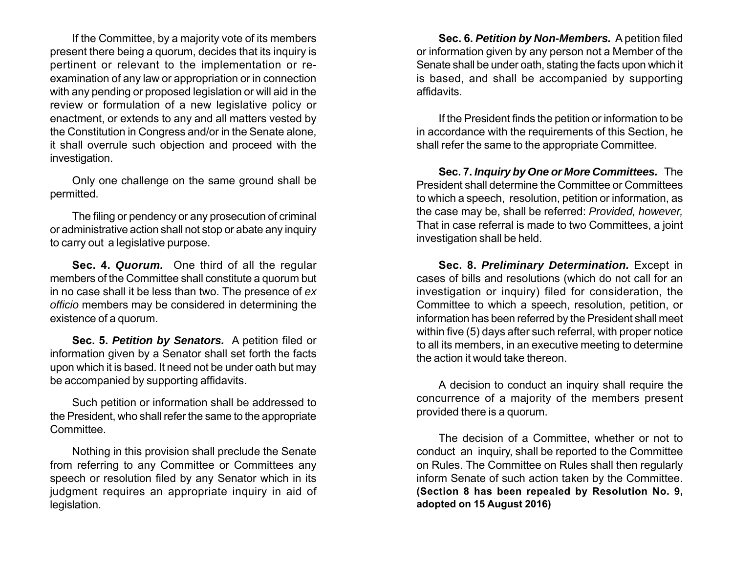If the Committee, by a majority vote of its members present there being a quorum, decides that its inquiry is pertinent or relevant to the implementation or reexamination of any law or appropriation or in connection with any pending or proposed legislation or will aid in the review or formulation of a new legislative policy or enactment, or extends to any and all matters vested by the Constitution in Congress and/or in the Senate alone, it shall overrule such objection and proceed with the investigation.

Only one challenge on the same ground shall be permitted.

The filing or pendency or any prosecution of criminal or administrative action shall not stop or abate any inquiry to carry out a legislative purpose.

**Sec. 4.** *Quorum.* One third of all the regular members of the Committee shall constitute a quorum but in no case shall it be less than two. The presence of *ex officio* members may be considered in determining the existence of a quorum.

**Sec. 5.** *Petition by Senators.* A petition filed or information given by a Senator shall set forth the facts upon which it is based. It need not be under oath but may be accompanied by supporting affidavits.

Such petition or information shall be addressed to the President, who shall refer the same to the appropriate Committee.

Nothing in this provision shall preclude the Senate from referring to any Committee or Committees any speech or resolution filed by any Senator which in its judgment requires an appropriate inquiry in aid of legislation.

**Sec. 6.** *Petition by Non-Members.* A petition filed or information given by any person not a Member of the Senate shall be under oath, stating the facts upon which it is based, and shall be accompanied by supporting affidavits.

If the President finds the petition or information to be in accordance with the requirements of this Section, he shall refer the same to the appropriate Committee.

**Sec. 7.** *Inquiry by One or More Committees.* The President shall determine the Committee or Committees to which a speech, resolution, petition or information, as the case may be, shall be referred: *Provided, however,* That in case referral is made to two Committees, a joint investigation shall be held.

**Sec. 8.** *Preliminary Determination.* Except in cases of bills and resolutions (which do not call for an investigation or inquiry) filed for consideration, the Committee to which a speech, resolution, petition, or information has been referred by the President shall meet within five (5) days after such referral, with proper notice to all its members, in an executive meeting to determine the action it would take thereon.

A decision to conduct an inquiry shall require the concurrence of a majority of the members present provided there is a quorum.

The decision of a Committee, whether or not to conduct an inquiry, shall be reported to the Committee on Rules. The Committee on Rules shall then regularly inform Senate of such action taken by the Committee. **(Section 8 has been repealed by Resolution No. 9, adopted on 15 August 2016)**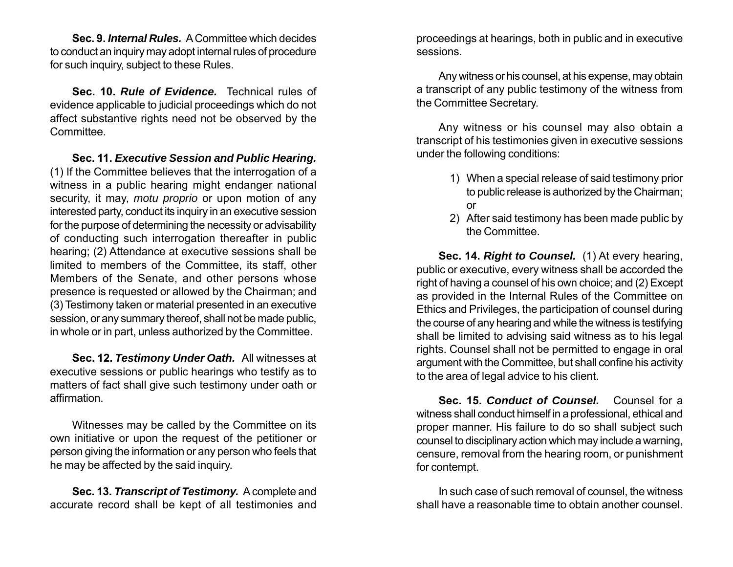**Sec. 9.** *Internal Rules.* A Committee which decides to conduct an inquiry may adopt internal rules of procedure for such inquiry, subject to these Rules.

**Sec. 10.** *Rule of Evidence.* Technical rules of evidence applicable to judicial proceedings which do not affect substantive rights need not be observed by the Committee.

**Sec. 11.** *Executive Session and Public Hearing.* (1) If the Committee believes that the interrogation of a witness in a public hearing might endanger national security, it may, *motu proprio* or upon motion of any interested party, conduct its inquiry in an executive session for the purpose of determining the necessity or advisability of conducting such interrogation thereafter in public hearing; (2) Attendance at executive sessions shall be limited to members of the Committee, its staff, other Members of the Senate, and other persons whose presence is requested or allowed by the Chairman; and (3) Testimony taken or material presented in an executive session, or any summary thereof, shall not be made public, in whole or in part, unless authorized by the Committee.

**Sec. 12.** *Testimony Under Oath.* All witnesses at executive sessions or public hearings who testify as to matters of fact shall give such testimony under oath or affirmation.

Witnesses may be called by the Committee on its own initiative or upon the request of the petitioner or person giving the information or any person who feels that he may be affected by the said inquiry.

**Sec. 13.** *Transcript of Testimony.* A complete and accurate record shall be kept of all testimonies and

proceedings at hearings, both in public and in executive sessions.

Any witness or his counsel, at his expense, may obtain a transcript of any public testimony of the witness from the Committee Secretary.

Any witness or his counsel may also obtain a transcript of his testimonies given in executive sessions under the following conditions:

- 1) When a special release of said testimony prior to public release is authorized by the Chairman; or
- 2) After said testimony has been made public by the Committee.

**Sec. 14.** *Right to Counsel.* (1) At every hearing, public or executive, every witness shall be accorded the right of having a counsel of his own choice; and (2) Except as provided in the Internal Rules of the Committee on Ethics and Privileges, the participation of counsel during the course of any hearing and while the witness is testifying shall be limited to advising said witness as to his legal rights. Counsel shall not be permitted to engage in oral argument with the Committee, but shall confine his activity to the area of legal advice to his client.

**Sec. 15.** *Conduct of Counsel.* Counsel for a witness shall conduct himself in a professional, ethical and proper manner. His failure to do so shall subject such counsel to disciplinary action which may include a warning, censure, removal from the hearing room, or punishment for contempt.

In such case of such removal of counsel, the witness shall have a reasonable time to obtain another counsel.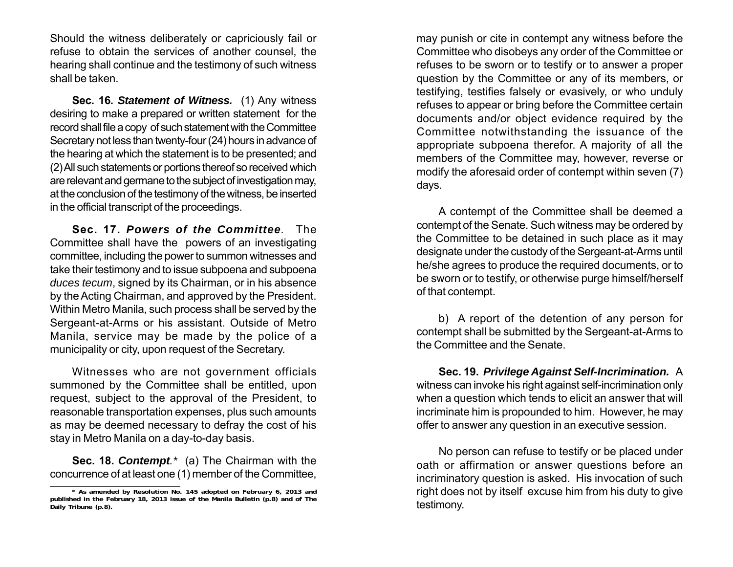Should the witness deliberately or capriciously fail or refuse to obtain the services of another counsel, the hearing shall continue and the testimony of such witness shall be taken.

**Sec. 16.** *Statement of Witness.* (1) Any witness desiring to make a prepared or written statement for the record shall file a copy of such statement with the Committee Secretary not less than twenty-four (24) hours in advance of the hearing at which the statement is to be presented; and (2) All such statements or portions thereof so received which are relevant and germane to the subject of investigation may, at the conclusion of the testimony of the witness, be inserted in the official transcript of the proceedings.

**Sec. 17.** *Powers of the Committee.* The Committee shall have the powers of an investigating committee, including the power to summon witnesses and take their testimony and to issue subpoena and subpoena *duces tecum*, signed by its Chairman, or in his absence by the Acting Chairman, and approved by the President. Within Metro Manila, such process shall be served by the Sergeant-at-Arms or his assistant. Outside of Metro Manila, service may be made by the police of a municipality or city, upon request of the Secretary.

Witnesses who are not government officials summoned by the Committee shall be entitled, upon request, subject to the approval of the President, to reasonable transportation expenses, plus such amounts as may be deemed necessary to defray the cost of his stay in Metro Manila on a day-to-day basis.

**Sec. 18.** *Contempt.\** (a) The Chairman with the concurrence of at least one (1) member of the Committee,

may punish or cite in contempt any witness before the Committee who disobeys any order of the Committee or refuses to be sworn or to testify or to answer a proper question by the Committee or any of its members, or testifying, testifies falsely or evasively, or who unduly refuses to appear or bring before the Committee certain documents and/or object evidence required by the Committee notwithstanding the issuance of the appropriate subpoena therefor. A majority of all the members of the Committee may, however, reverse or modify the aforesaid order of contempt within seven (7) days.

A contempt of the Committee shall be deemed a contempt of the Senate. Such witness may be ordered by the Committee to be detained in such place as it may designate under the custody of the Sergeant-at-Arms until he/she agrees to produce the required documents, or to be sworn or to testify, or otherwise purge himself/herself of that contempt.

b) A report of the detention of any person for contempt shall be submitted by the Sergeant-at-Arms to the Committee and the Senate.

**Sec. 19.** *Privilege Against Self-Incrimination.* A witness can invoke his right against self-incrimination only when a question which tends to elicit an answer that will incriminate him is propounded to him. However, he may offer to answer any question in an executive session.

No person can refuse to testify or be placed under oath or affirmation or answer questions before an incriminatory question is asked. His invocation of such right does not by itself excuse him from his duty to give testimony.

**<sup>\*</sup> As amended by Resolution No. 145 adopted on February 6, 2013 and published in the February 18, 2013 issue of the Manila Bulletin (p.8) and of The Daily Tribune (p.8).**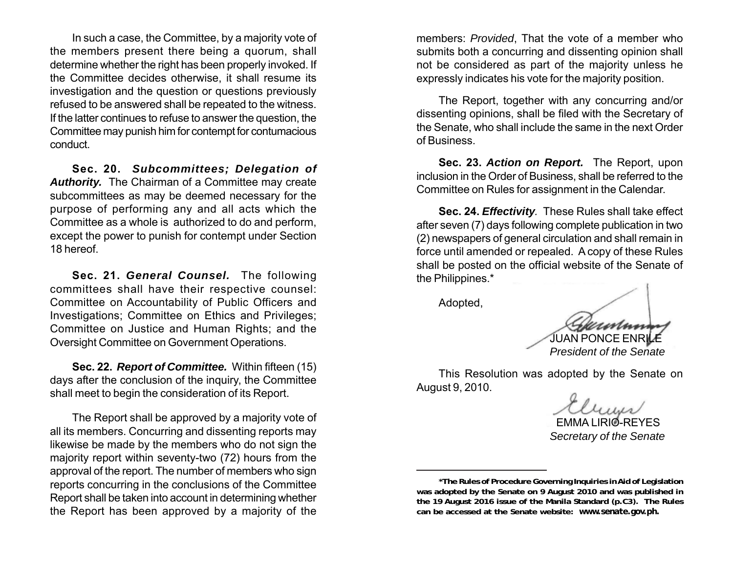In such a case, the Committee, by a majority vote of the members present there being a quorum, shall determine whether the right has been properly invoked. If the Committee decides otherwise, it shall resume its investigation and the question or questions previously refused to be answered shall be repeated to the witness. If the latter continues to refuse to answer the question, the Committee may punish him for contempt for contumacious conduct.

**Sec. 20.** *Subcommittees; Delegation of* Authority. The Chairman of a Committee may create subcommittees as may be deemed necessary for the purpose of performing any and all acts which the Committee as a whole is authorized to do and perform, except the power to punish for contempt under Section 18 hereof.

**Sec. 21.** *General Counsel.* The following committees shall have their respective counsel: Committee on Accountability of Public Officers and Investigations; Committee on Ethics and Privileges; Committee on Justice and Human Rights; and the Oversight Committee on Government Operations.

**Sec. 22.** *Report of Committee.* Within fifteen (15) days after the conclusion of the inquiry, the Committee shall meet to begin the consideration of its Report.

The Report shall be approved by a majority vote of all its members. Concurring and dissenting reports may likewise be made by the members who do not sign the majority report within seventy-two (72) hours from the approval of the report. The number of members who sign reports concurring in the conclusions of the Committee Report shall be taken into account in determining whether the Report has been approved by a majority of the

members: *Provided*, That the vote of a member who submits both a concurring and dissenting opinion shall not be considered as part of the majority unless he expressly indicates his vote for the majority position.

The Report, together with any concurring and/or dissenting opinions, shall be filed with the Secretary of the Senate, who shall include the same in the next Order of Business.

**Sec. 23.** *Action on Report.* The Report, upon inclusion in the Order of Business, shall be referred to the Committee on Rules for assignment in the Calendar.

**Sec. 24.** *Effectivity.* These Rules shall take effect after seven (7) days following complete publication in two (2) newspapers of general circulation and shall remain in force until amended or repealed. A copy of these Rules shall be posted on the official website of the Senate of the Philippines.\*

Adopted,

JUAN PONCE ENRILE *President of the Senate*

This Resolution was adopted by the Senate on August 9, 2010.

 EMMA LIRIO-REYES *Secretary of the Senate*

**<sup>\*</sup>The Rules of Procedure Governing Inquiries in Aid of Legislation was adopted by the Senate on 9 August 2010 and was published in the 19 August 2016 issue of the Manila Standard (p.C3). The Rules can be accessed at the Senate website:** *www.senate.gov.ph.*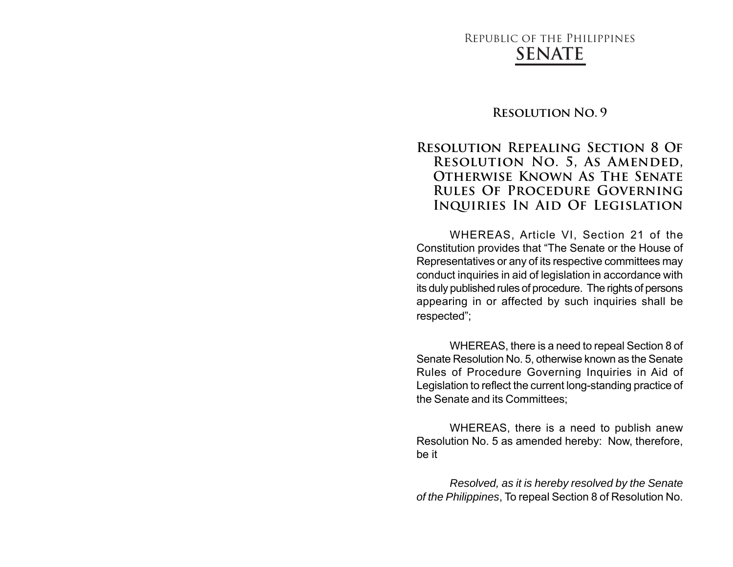## Republic of the Philippines **SENATE**

#### **Resolution No. 9**

### **Resolution Repealing Section 8 Of Resolution No. 5, As Amended, Otherwise Known As The Senate Rules Of Procedure Governing Inquiries In Aid Of Legislation**

WHEREAS, Article VI, Section 21 of the Constitution provides that "The Senate or the House of Representatives or any of its respective committees may conduct inquiries in aid of legislation in accordance with its duly published rules of procedure. The rights of persons appearing in or affected by such inquiries shall be respected";

WHEREAS, there is a need to repeal Section 8 of Senate Resolution No. 5, otherwise known as the Senate Rules of Procedure Governing Inquiries in Aid of Legislation to reflect the current long-standing practice of the Senate and its Committees;

WHEREAS, there is a need to publish anew Resolution No. 5 as amended hereby: Now, therefore, be it

*Resolved, as it is hereby resolved by the Senate of the Philippines*, To repeal Section 8 of Resolution No.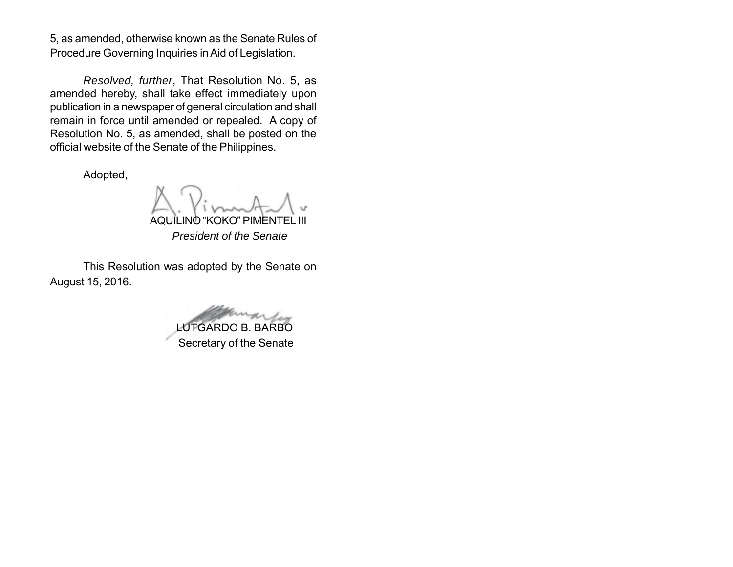5, as amended, otherwise known as the Senate Rules of Procedure Governing Inquiries in Aid of Legislation.

*Resolved, further*, That Resolution No. 5, as amended hereby, shall take effect immediately upon publication in a newspaper of general circulation and shall remain in force until amended or repealed. A copy of Resolution No. 5, as amended, shall be posted on the official website of the Senate of the Philippines.

Adopted,

AQUILINO "KOKO" PIMENTEL III

 *President of the Senate*

This Resolution was adopted by the Senate on August 15, 2016.

LUTGARDO B. BARBO Secretary of the Senate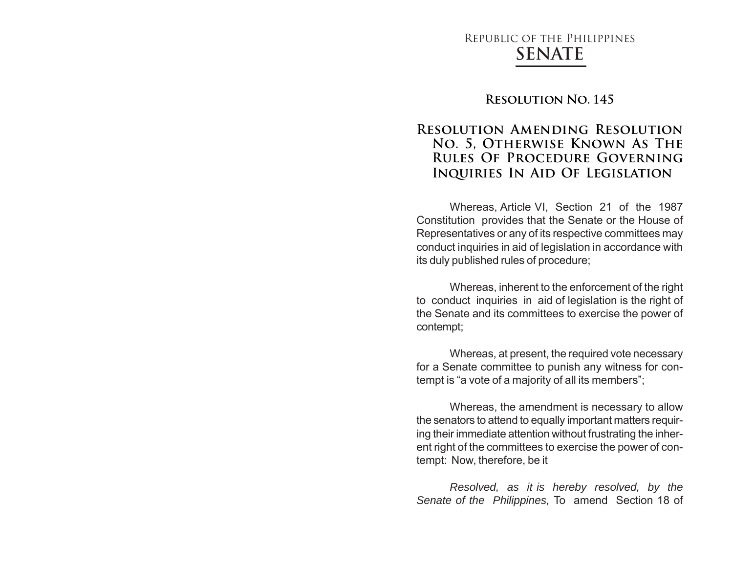## Republic of the Philippines **SENATE**

#### **Resolution No. 145**

### **Resolution Amending Resolution No. 5, Otherwise Known As The Rules Of Procedure Governing Inquiries In Aid Of Legislation**

Whereas, Article VI, Section 21 of the 1987 Constitution provides that the Senate or the House of Representatives or any of its respective committees may conduct inquiries in aid of legislation in accordance with its duly published rules of procedure;

Whereas, inherent to the enforcement of the right to conduct inquiries in aid of legislation is the right of the Senate and its committees to exercise the power of contempt;

Whereas, at present, the required vote necessary for a Senate committee to punish any witness for contempt is "a vote of a majority of all its members";

Whereas, the amendment is necessary to allow the senators to attend to equally important matters requiring their immediate attention without frustrating the inherent right of the committees to exercise the power of contempt: Now, therefore, be it

*Resolved, as it is hereby resolved, by the Senate of the Philippines,* To amend Section 18 of